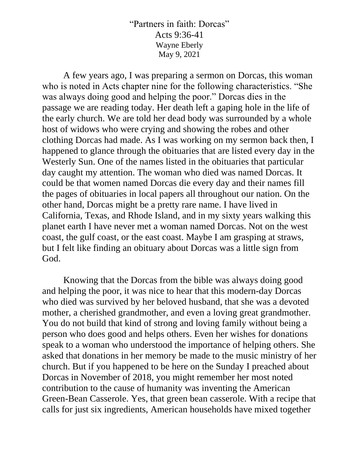"Partners in faith: Dorcas" Acts 9:36-41 Wayne Eberly May 9, 2021

A few years ago, I was preparing a sermon on Dorcas, this woman who is noted in Acts chapter nine for the following characteristics. "She was always doing good and helping the poor." Dorcas dies in the passage we are reading today. Her death left a gaping hole in the life of the early church. We are told her dead body was surrounded by a whole host of widows who were crying and showing the robes and other clothing Dorcas had made. As I was working on my sermon back then, I happened to glance through the obituaries that are listed every day in the Westerly Sun. One of the names listed in the obituaries that particular day caught my attention. The woman who died was named Dorcas. It could be that women named Dorcas die every day and their names fill the pages of obituaries in local papers all throughout our nation. On the other hand, Dorcas might be a pretty rare name. I have lived in California, Texas, and Rhode Island, and in my sixty years walking this planet earth I have never met a woman named Dorcas. Not on the west coast, the gulf coast, or the east coast. Maybe I am grasping at straws, but I felt like finding an obituary about Dorcas was a little sign from God.

Knowing that the Dorcas from the bible was always doing good and helping the poor, it was nice to hear that this modern-day Dorcas who died was survived by her beloved husband, that she was a devoted mother, a cherished grandmother, and even a loving great grandmother. You do not build that kind of strong and loving family without being a person who does good and helps others. Even her wishes for donations speak to a woman who understood the importance of helping others. She asked that donations in her memory be made to the music ministry of her church. But if you happened to be here on the Sunday I preached about Dorcas in November of 2018, you might remember her most noted contribution to the cause of humanity was inventing the American Green-Bean Casserole. Yes, that green bean casserole. With a recipe that calls for just six ingredients, American households have mixed together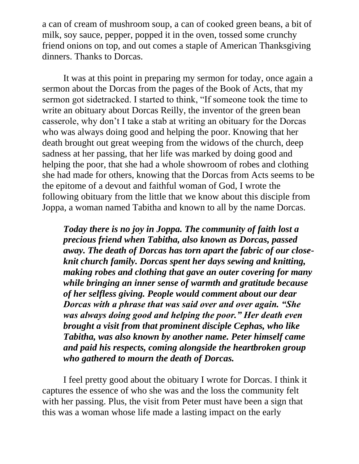a can of cream of mushroom soup, a can of cooked green beans, a bit of milk, soy sauce, pepper, popped it in the oven, tossed some crunchy friend onions on top, and out comes a staple of American Thanksgiving dinners. Thanks to Dorcas.

It was at this point in preparing my sermon for today, once again a sermon about the Dorcas from the pages of the Book of Acts, that my sermon got sidetracked. I started to think, "If someone took the time to write an obituary about Dorcas Reilly, the inventor of the green bean casserole, why don't I take a stab at writing an obituary for the Dorcas who was always doing good and helping the poor. Knowing that her death brought out great weeping from the widows of the church, deep sadness at her passing, that her life was marked by doing good and helping the poor, that she had a whole showroom of robes and clothing she had made for others, knowing that the Dorcas from Acts seems to be the epitome of a devout and faithful woman of God, I wrote the following obituary from the little that we know about this disciple from Joppa, a woman named Tabitha and known to all by the name Dorcas.

*Today there is no joy in Joppa. The community of faith lost a precious friend when Tabitha, also known as Dorcas, passed away. The death of Dorcas has torn apart the fabric of our closeknit church family. Dorcas spent her days sewing and knitting, making robes and clothing that gave an outer covering for many while bringing an inner sense of warmth and gratitude because of her selfless giving. People would comment about our dear Dorcas with a phrase that was said over and over again. "She was always doing good and helping the poor." Her death even brought a visit from that prominent disciple Cephas, who like Tabitha, was also known by another name. Peter himself came and paid his respects, coming alongside the heartbroken group who gathered to mourn the death of Dorcas.*

I feel pretty good about the obituary I wrote for Dorcas. I think it captures the essence of who she was and the loss the community felt with her passing. Plus, the visit from Peter must have been a sign that this was a woman whose life made a lasting impact on the early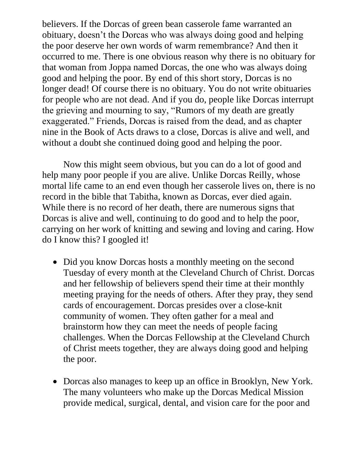believers. If the Dorcas of green bean casserole fame warranted an obituary, doesn't the Dorcas who was always doing good and helping the poor deserve her own words of warm remembrance? And then it occurred to me. There is one obvious reason why there is no obituary for that woman from Joppa named Dorcas, the one who was always doing good and helping the poor. By end of this short story, Dorcas is no longer dead! Of course there is no obituary. You do not write obituaries for people who are not dead. And if you do, people like Dorcas interrupt the grieving and mourning to say, "Rumors of my death are greatly exaggerated." Friends, Dorcas is raised from the dead, and as chapter nine in the Book of Acts draws to a close, Dorcas is alive and well, and without a doubt she continued doing good and helping the poor.

Now this might seem obvious, but you can do a lot of good and help many poor people if you are alive. Unlike Dorcas Reilly, whose mortal life came to an end even though her casserole lives on, there is no record in the bible that Tabitha, known as Dorcas, ever died again. While there is no record of her death, there are numerous signs that Dorcas is alive and well, continuing to do good and to help the poor, carrying on her work of knitting and sewing and loving and caring. How do I know this? I googled it!

- Did you know Dorcas hosts a monthly meeting on the second Tuesday of every month at the Cleveland Church of Christ. Dorcas and her fellowship of believers spend their time at their monthly meeting praying for the needs of others. After they pray, they send cards of encouragement. Dorcas presides over a close-knit community of women. They often gather for a meal and brainstorm how they can meet the needs of people facing challenges. When the Dorcas Fellowship at the Cleveland Church of Christ meets together, they are always doing good and helping the poor.
- Dorcas also manages to keep up an office in Brooklyn, New York. The many volunteers who make up the Dorcas Medical Mission provide medical, surgical, dental, and vision care for the poor and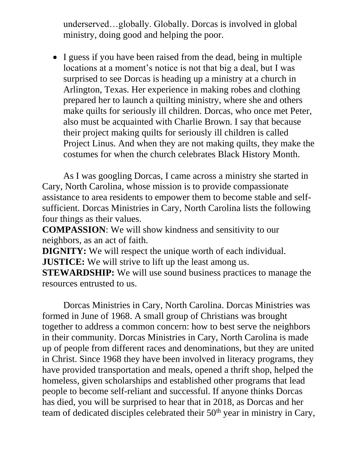underserved…globally. Globally. Dorcas is involved in global ministry, doing good and helping the poor.

• I guess if you have been raised from the dead, being in multiple locations at a moment's notice is not that big a deal, but I was surprised to see Dorcas is heading up a ministry at a church in Arlington, Texas. Her experience in making robes and clothing prepared her to launch a quilting ministry, where she and others make quilts for seriously ill children. Dorcas, who once met Peter, also must be acquainted with Charlie Brown. I say that because their project making quilts for seriously ill children is called Project Linus. And when they are not making quilts, they make the costumes for when the church celebrates Black History Month.

As I was googling Dorcas, I came across a ministry she started in Cary, North Carolina, whose mission is to provide compassionate assistance to area residents to empower them to become stable and selfsufficient. Dorcas Ministries in Cary, North Carolina lists the following four things as their values.

**COMPASSION**: We will show kindness and sensitivity to our neighbors, as an act of faith.

**DIGNITY:** We will respect the unique worth of each individual. **JUSTICE:** We will strive to lift up the least among us.

**STEWARDSHIP:** We will use sound business practices to manage the resources entrusted to us.

Dorcas Ministries in Cary, North Carolina. Dorcas Ministries was formed in June of 1968. A small group of Christians was brought together to address a common concern: how to best serve the neighbors in their community. Dorcas Ministries in Cary, North Carolina is made up of people from different races and denominations, but they are united in Christ. Since 1968 they have been involved in literacy programs, they have provided transportation and meals, opened a thrift shop, helped the homeless, given scholarships and established other programs that lead people to become self-reliant and successful. If anyone thinks Dorcas has died, you will be surprised to hear that in 2018, as Dorcas and her team of dedicated disciples celebrated their 50<sup>th</sup> year in ministry in Cary,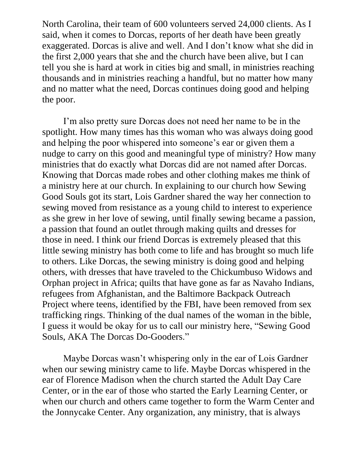North Carolina, their team of 600 volunteers served 24,000 clients. As I said, when it comes to Dorcas, reports of her death have been greatly exaggerated. Dorcas is alive and well. And I don't know what she did in the first 2,000 years that she and the church have been alive, but I can tell you she is hard at work in cities big and small, in ministries reaching thousands and in ministries reaching a handful, but no matter how many and no matter what the need, Dorcas continues doing good and helping the poor.

I'm also pretty sure Dorcas does not need her name to be in the spotlight. How many times has this woman who was always doing good and helping the poor whispered into someone's ear or given them a nudge to carry on this good and meaningful type of ministry? How many ministries that do exactly what Dorcas did are not named after Dorcas. Knowing that Dorcas made robes and other clothing makes me think of a ministry here at our church. In explaining to our church how Sewing Good Souls got its start, Lois Gardner shared the way her connection to sewing moved from resistance as a young child to interest to experience as she grew in her love of sewing, until finally sewing became a passion, a passion that found an outlet through making quilts and dresses for those in need. I think our friend Dorcas is extremely pleased that this little sewing ministry has both come to life and has brought so much life to others. Like Dorcas, the sewing ministry is doing good and helping others, with dresses that have traveled to the Chickumbuso Widows and Orphan project in Africa; quilts that have gone as far as Navaho Indians, refugees from Afghanistan, and the Baltimore Backpack Outreach Project where teens, identified by the FBI, have been removed from sex trafficking rings. Thinking of the dual names of the woman in the bible, I guess it would be okay for us to call our ministry here, "Sewing Good Souls, AKA The Dorcas Do-Gooders."

Maybe Dorcas wasn't whispering only in the ear of Lois Gardner when our sewing ministry came to life. Maybe Dorcas whispered in the ear of Florence Madison when the church started the Adult Day Care Center, or in the ear of those who started the Early Learning Center, or when our church and others came together to form the Warm Center and the Jonnycake Center. Any organization, any ministry, that is always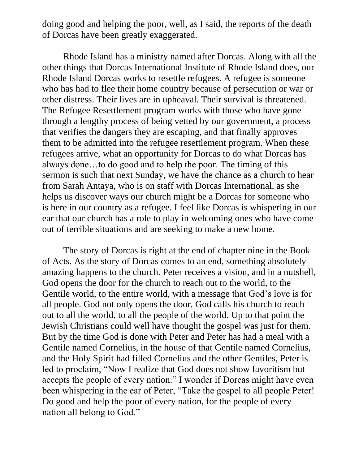doing good and helping the poor, well, as I said, the reports of the death of Dorcas have been greatly exaggerated.

Rhode Island has a ministry named after Dorcas. Along with all the other things that Dorcas International Institute of Rhode Island does, our Rhode Island Dorcas works to resettle refugees. A refugee is someone who has had to flee their home country because of persecution or war or other distress. Their lives are in upheaval. Their survival is threatened. The Refugee Resettlement program works with those who have gone through a lengthy process of being vetted by our government, a process that verifies the dangers they are escaping, and that finally approves them to be admitted into the refugee resettlement program. When these refugees arrive, what an opportunity for Dorcas to do what Dorcas has always done…to do good and to help the poor. The timing of this sermon is such that next Sunday, we have the chance as a church to hear from Sarah Antaya, who is on staff with Dorcas International, as she helps us discover ways our church might be a Dorcas for someone who is here in our country as a refugee. I feel like Dorcas is whispering in our ear that our church has a role to play in welcoming ones who have come out of terrible situations and are seeking to make a new home.

The story of Dorcas is right at the end of chapter nine in the Book of Acts. As the story of Dorcas comes to an end, something absolutely amazing happens to the church. Peter receives a vision, and in a nutshell, God opens the door for the church to reach out to the world, to the Gentile world, to the entire world, with a message that God's love is for all people. God not only opens the door, God calls his church to reach out to all the world, to all the people of the world. Up to that point the Jewish Christians could well have thought the gospel was just for them. But by the time God is done with Peter and Peter has had a meal with a Gentile named Cornelius, in the house of that Gentile named Cornelius, and the Holy Spirit had filled Cornelius and the other Gentiles, Peter is led to proclaim, "Now I realize that God does not show favoritism but accepts the people of every nation." I wonder if Dorcas might have even been whispering in the ear of Peter, "Take the gospel to all people Peter! Do good and help the poor of every nation, for the people of every nation all belong to God."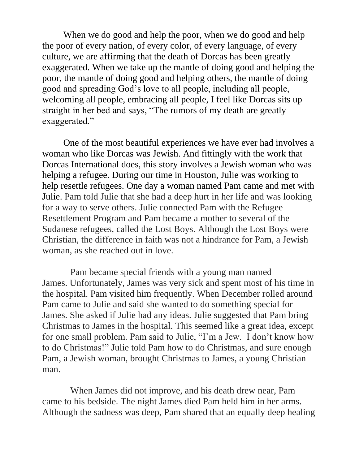When we do good and help the poor, when we do good and help the poor of every nation, of every color, of every language, of every culture, we are affirming that the death of Dorcas has been greatly exaggerated. When we take up the mantle of doing good and helping the poor, the mantle of doing good and helping others, the mantle of doing good and spreading God's love to all people, including all people, welcoming all people, embracing all people, I feel like Dorcas sits up straight in her bed and says, "The rumors of my death are greatly exaggerated."

One of the most beautiful experiences we have ever had involves a woman who like Dorcas was Jewish. And fittingly with the work that Dorcas International does, this story involves a Jewish woman who was helping a refugee. During our time in Houston, Julie was working to help resettle refugees. One day a woman named Pam came and met with Julie. Pam told Julie that she had a deep hurt in her life and was looking for a way to serve others. Julie connected Pam with the Refugee Resettlement Program and Pam became a mother to several of the Sudanese refugees, called the Lost Boys. Although the Lost Boys were Christian, the difference in faith was not a hindrance for Pam, a Jewish woman, as she reached out in love.

 Pam became special friends with a young man named James. Unfortunately, James was very sick and spent most of his time in the hospital. Pam visited him frequently. When December rolled around Pam came to Julie and said she wanted to do something special for James. She asked if Julie had any ideas. Julie suggested that Pam bring Christmas to James in the hospital. This seemed like a great idea, except for one small problem. Pam said to Julie, "I'm a Jew. I don't know how to do Christmas!" Julie told Pam how to do Christmas, and sure enough Pam, a Jewish woman, brought Christmas to James, a young Christian man.

 When James did not improve, and his death drew near, Pam came to his bedside. The night James died Pam held him in her arms. Although the sadness was deep, Pam shared that an equally deep healing